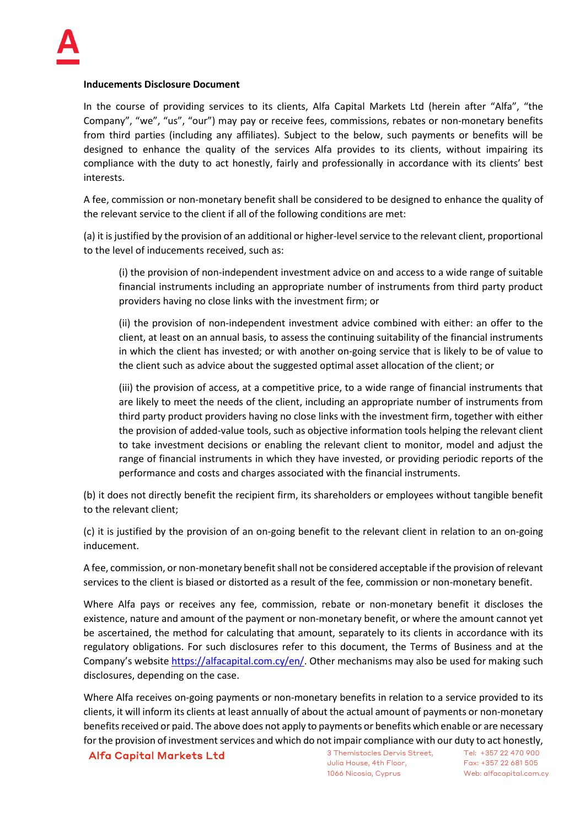## **Inducements Disclosure Document**

In the course of providing services to its clients, Alfa Capital Markets Ltd (herein after "Alfa", "the Company", "we", "us", "our") may pay or receive fees, commissions, rebates or non-monetary benefits from third parties (including any affiliates). Subject to the below, such payments or benefits will be designed to enhance the quality of the services Alfa provides to its clients, without impairing its compliance with the duty to act honestly, fairly and professionally in accordance with its clients' best interests.

A fee, commission or non-monetary benefit shall be considered to be designed to enhance the quality of the relevant service to the client if all of the following conditions are met:

(a) it is justified by the provision of an additional or higher-level service to the relevant client, proportional to the level of inducements received, such as:

(i) the provision of non-independent investment advice on and access to a wide range of suitable financial instruments including an appropriate number of instruments from third party product providers having no close links with the investment firm; or

(ii) the provision of non-independent investment advice combined with either: an offer to the client, at least on an annual basis, to assess the continuing suitability of the financial instruments in which the client has invested; or with another on-going service that is likely to be of value to the client such as advice about the suggested optimal asset allocation of the client; or

(iii) the provision of access, at a competitive price, to a wide range of financial instruments that are likely to meet the needs of the client, including an appropriate number of instruments from third party product providers having no close links with the investment firm, together with either the provision of added-value tools, such as objective information tools helping the relevant client to take investment decisions or enabling the relevant client to monitor, model and adjust the range of financial instruments in which they have invested, or providing periodic reports of the performance and costs and charges associated with the financial instruments.

(b) it does not directly benefit the recipient firm, its shareholders or employees without tangible benefit to the relevant client;

(c) it is justified by the provision of an on-going benefit to the relevant client in relation to an on-going inducement.

A fee, commission, or non-monetary benefit shall not be considered acceptable if the provision of relevant services to the client is biased or distorted as a result of the fee, commission or non-monetary benefit.

Where Alfa pays or receives any fee, commission, rebate or non-monetary benefit it discloses the existence, nature and amount of the payment or non-monetary benefit, or where the amount cannot yet be ascertained, the method for calculating that amount, separately to its clients in accordance with its regulatory obligations. For such disclosures refer to this document, the Terms of Business and at the Company's websit[e https://alfacapital.com.cy/en/.](https://alfacapital.com.cy/en/) Other mechanisms may also be used for making such disclosures, depending on the case.

Where Alfa receives on-going payments or non-monetary benefits in relation to a service provided to its clients, it will inform its clients at least annually of about the actual amount of payments or non-monetary benefits received or paid. The above does not apply to payments or benefits which enable or are necessary for the provision of investment services and which do not impair compliance with our duty to act honestly,

Alfa Capital Markets Ltd 3 Themistocles Dervis Street,

Julia House, 4th Floor, 1066 Nicosia, Cyprus

Tel: +357 22 470 900 Fax: +357 22 681 505 Web: alfacapital.com.cy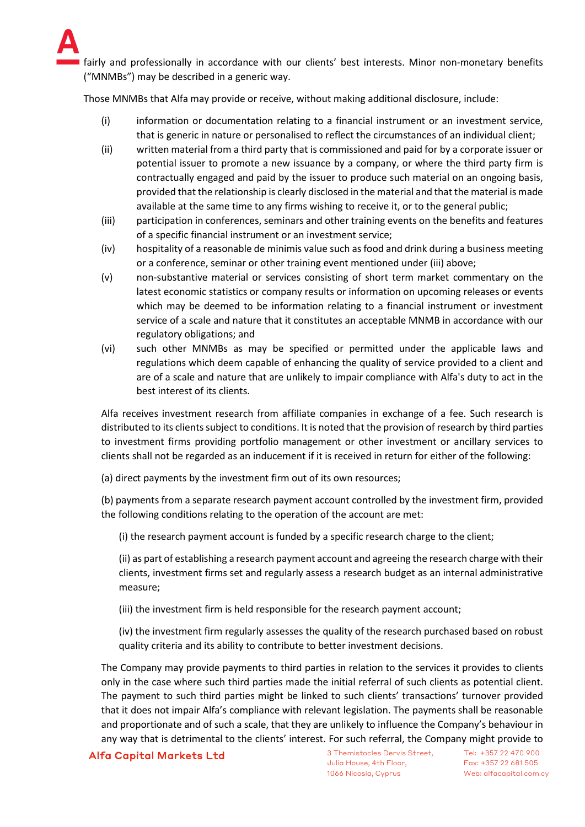fairly and professionally in accordance with our clients' best interests. Minor non-monetary benefits ("MNMBs") may be described in a generic way.

Those MNMBs that Alfa may provide or receive, without making additional disclosure, include:

- (i) information or documentation relating to a financial instrument or an investment service, that is generic in nature or personalised to reflect the circumstances of an individual client;
- (ii) written material from a third party that is commissioned and paid for by a corporate issuer or potential issuer to promote a new issuance by a company, or where the third party firm is contractually engaged and paid by the issuer to produce such material on an ongoing basis, provided that the relationship is clearly disclosed in the material and that the material is made available at the same time to any firms wishing to receive it, or to the general public;
- (iii) participation in conferences, seminars and other training events on the benefits and features of a specific financial instrument or an investment service;
- (iv) hospitality of a reasonable de minimis value such as food and drink during a business meeting or a conference, seminar or other training event mentioned under (iii) above;
- (v) non-substantive material or services consisting of short term market commentary on the latest economic statistics or company results or information on upcoming releases or events which may be deemed to be information relating to a financial instrument or investment service of a scale and nature that it constitutes an acceptable MNMB in accordance with our regulatory obligations; and
- (vi) such other MNMBs as may be specified or permitted under the applicable laws and regulations which deem capable of enhancing the quality of service provided to a client and are of a scale and nature that are unlikely to impair compliance with Alfa's duty to act in the best interest of its clients.

Alfa receives investment research from affiliate companies in exchange of a fee. Such research is distributed to its clients subject to conditions. It is noted that the provision of research by third parties to investment firms providing portfolio management or other investment or ancillary services to clients shall not be regarded as an inducement if it is received in return for either of the following:

(a) direct payments by the investment firm out of its own resources;

(b) payments from a separate research payment account controlled by the investment firm, provided the following conditions relating to the operation of the account are met:

(i) the research payment account is funded by a specific research charge to the client;

(ii) as part of establishing a research payment account and agreeing the research charge with their clients, investment firms set and regularly assess a research budget as an internal administrative measure;

(iii) the investment firm is held responsible for the research payment account;

(iv) the investment firm regularly assesses the quality of the research purchased based on robust quality criteria and its ability to contribute to better investment decisions.

The Company may provide payments to third parties in relation to the services it provides to clients only in the case where such third parties made the initial referral of such clients as potential client. The payment to such third parties might be linked to such clients' transactions' turnover provided that it does not impair Alfa's compliance with relevant legislation. The payments shall be reasonable and proportionate and of such a scale, that they are unlikely to influence the Company's behaviour in any way that is detrimental to the clients' interest. For such referral, the Company might provide to

## Alfa Capital Markets Ltd 3 Themistocles Dervis Street,

Julia House, 4th Floor, 1066 Nicosia, Cyprus

Tel: +357 22 470 900 Fax: +357 22 681 505 Web: alfacapital.com.cy